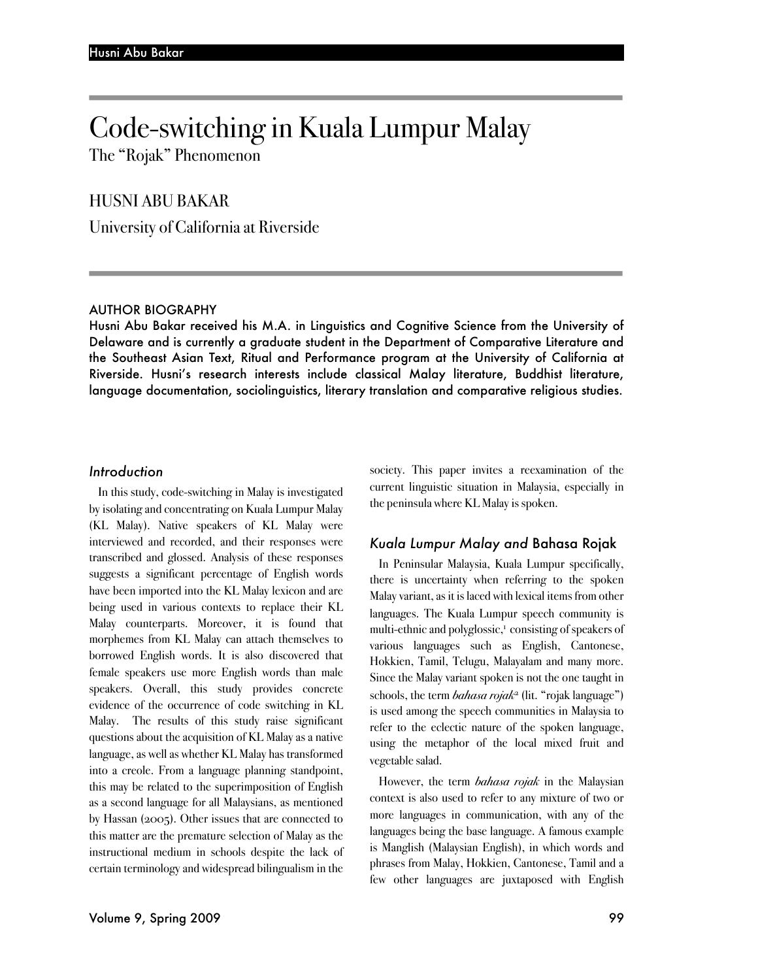# Code-switching in Kuala Lumpur Malay

The "Rojak" Phenomenon

# HUSNI ABU BAKAR

University of California at Riverside

#### AUTHOR BIOGRAPHY

Husni Abu Bakar received his M.A. in Linguistics and Cognitive Science from the University of Delaware and is currently a graduate student in the Department of Comparative Literature and the Southeast Asian Text, Ritual and Performance program at the University of California at Riverside. Husni's research interests include classical Malay literature, Buddhist literature, language documentation, sociolinguistics, literary translation and comparative religious studies.

## *Introduction*

In this study, code-switching in Malay is investigated by isolating and concentrating on Kuala Lumpur Malay (KL Malay). Native speakers of KL Malay were interviewed and recorded, and their responses were transcribed and glossed. Analysis of these responses suggests a significant percentage of English words have been imported into the KL Malay lexicon and are being used in various contexts to replace their KL Malay counterparts. Moreover, it is found that morphemes from KL Malay can attach themselves to borrowed English words. It is also discovered that female speakers use more English words than male speakers. Overall, this study provides concrete evidence of the occurrence of code switching in KL Malay. The results of this study raise significant questions about the acquisition of KL Malay as a native language, as well as whether KL Malay has transformed into a creole. From a language planning standpoint, this may be related to the superimposition of English as a second language for all Malaysians, as mentioned by Hassan (2005). Other issues that are connected to this matter are the premature selection of Malay as the instructional medium in schools despite the lack of certain terminology and widespread bilingualism in the

society. This paper invites a reexamination of the current linguistic situation in Malaysia, especially in the peninsula where KL Malay is spoken.

# *Kuala Lumpur Malay and* Bahasa Rojak

In Peninsular Malaysia, Kuala Lumpur specifically, there is uncertainty when referring to the spoken Malay variant, as it is laced with lexical items from other languages. The Kuala Lumpur speech community is multi-ethnic and polyglossic,<sup>1</sup> consisting of speakers of various languages such as English, Cantonese, Hokkien, Tamil, Telugu, Malayalam and many more. Since the Malay variant spoken is not the one taught in schools, the term *bahasa rojak*<sup>2</sup> (lit. "rojak language") is used among the speech communities in Malaysia to refer to the eclectic nature of the spoken language, using the metaphor of the local mixed fruit and vegetable salad.

However, the term *bahasa rojak* in the Malaysian context is also used to refer to any mixture of two or more languages in communication, with any of the languages being the base language. A famous example is Manglish (Malaysian English), in which words and phrases from Malay, Hokkien, Cantonese, Tamil and a few other languages are juxtaposed with English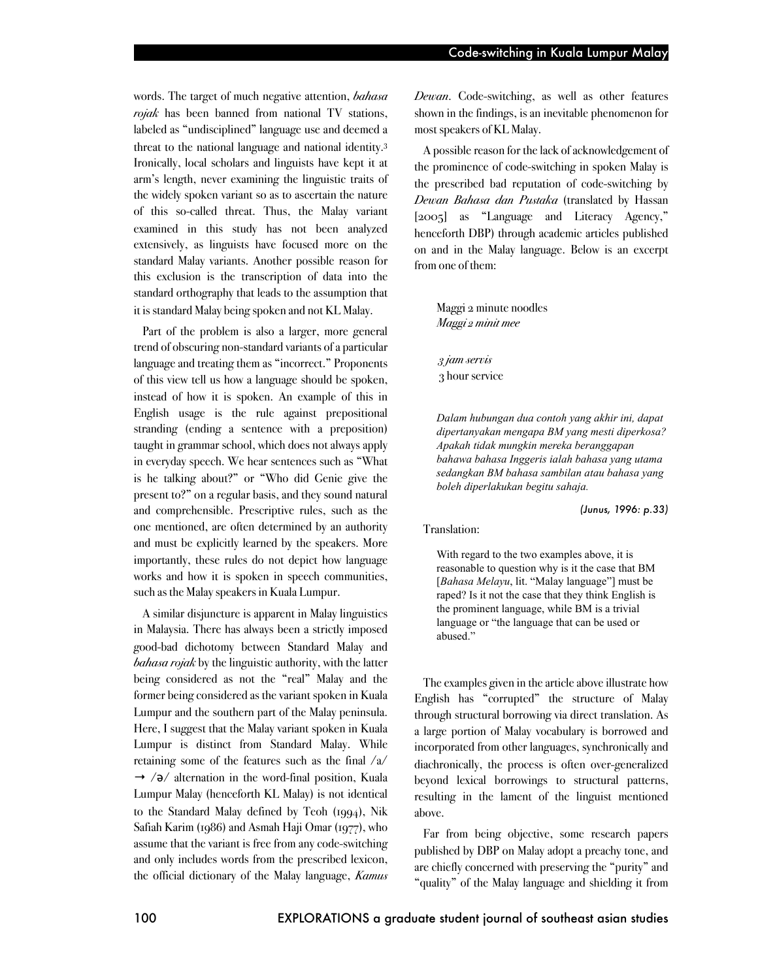words. The target of much negative attention, *bahasa rojak* has been banned from national TV stations, labeled as "undisciplined" language use and deemed a threat to the national language and national identity.3 Ironically, local scholars and linguists have kept it at arm's length, never examining the linguistic traits of the widely spoken variant so as to ascertain the nature of this so-called threat. Thus, the Malay variant examined in this study has not been analyzed extensively, as linguists have focused more on the standard Malay variants. Another possible reason for this exclusion is the transcription of data into the standard orthography that leads to the assumption that it is standard Malay being spoken and not KL Malay.

Part of the problem is also a larger, more general trend of obscuring non-standard variants of a particular language and treating them as "incorrect." Proponents of this view tell us how a language should be spoken, instead of how it is spoken. An example of this in English usage is the rule against prepositional stranding (ending a sentence with a preposition) taught in grammar school, which does not always apply in everyday speech. We hear sentences such as "What is he talking about?" or "Who did Genie give the present to?" on a regular basis, and they sound natural and comprehensible. Prescriptive rules, such as the one mentioned, are often determined by an authority and must be explicitly learned by the speakers. More importantly, these rules do not depict how language works and how it is spoken in speech communities, such as the Malay speakers in Kuala Lumpur.

A similar disjuncture is apparent in Malay linguistics in Malaysia. There has always been a strictly imposed good-bad dichotomy between Standard Malay and *bahasa rojak* by the linguistic authority, with the latter being considered as not the "real" Malay and the former being considered as the variant spoken in Kuala Lumpur and the southern part of the Malay peninsula. Here, I suggest that the Malay variant spoken in Kuala Lumpur is distinct from Standard Malay. While retaining some of the features such as the final /a/  $\rightarrow$  / $\partial$ / alternation in the word-final position, Kuala Lumpur Malay (henceforth KL Malay) is not identical to the Standard Malay defined by Teoh (1994), Nik Safiah Karim (1986) and Asmah Haji Omar (1977), who assume that the variant is free from any code-switching and only includes words from the prescribed lexicon, the official dictionary of the Malay language, *Kamus* 

*Dewan*. Code-switching, as well as other features shown in the findings, is an inevitable phenomenon for most speakers of KL Malay.

A possible reason for the lack of acknowledgement of the prominence of code-switching in spoken Malay is the prescribed bad reputation of code-switching by *Dewan Bahasa dan Pustaka* (translated by Hassan [2005] as "Language and Literacy Agency," henceforth DBP) through academic articles published on and in the Malay language. Below is an excerpt from one of them:

Maggi 2 minute noodles *Maggi 2 minit mee*

 *3 jam servis* 3 hour service

*Dalam hubungan dua contoh yang akhir ini, dapat dipertanyakan mengapa BM yang mesti diperkosa? Apakah tidak mungkin mereka beranggapan bahawa bahasa Inggeris ialah bahasa yang utama sedangkan BM bahasa sambilan atau bahasa yang boleh diperlakukan begitu sahaja.*

 *(Junus, 1996: p.33)*

Translation:

With regard to the two examples above, it is reasonable to question why is it the case that BM [*Bahasa Melayu*, lit. "Malay language"] must be raped? Is it not the case that they think English is the prominent language, while BM is a trivial language or "the language that can be used or abused."

The examples given in the article above illustrate how English has "corrupted" the structure of Malay through structural borrowing via direct translation. As a large portion of Malay vocabulary is borrowed and incorporated from other languages, synchronically and diachronically, the process is often over-generalized beyond lexical borrowings to structural patterns, resulting in the lament of the linguist mentioned above.

Far from being objective, some research papers published by DBP on Malay adopt a preachy tone, and are chiefly concerned with preserving the "purity" and "quality" of the Malay language and shielding it from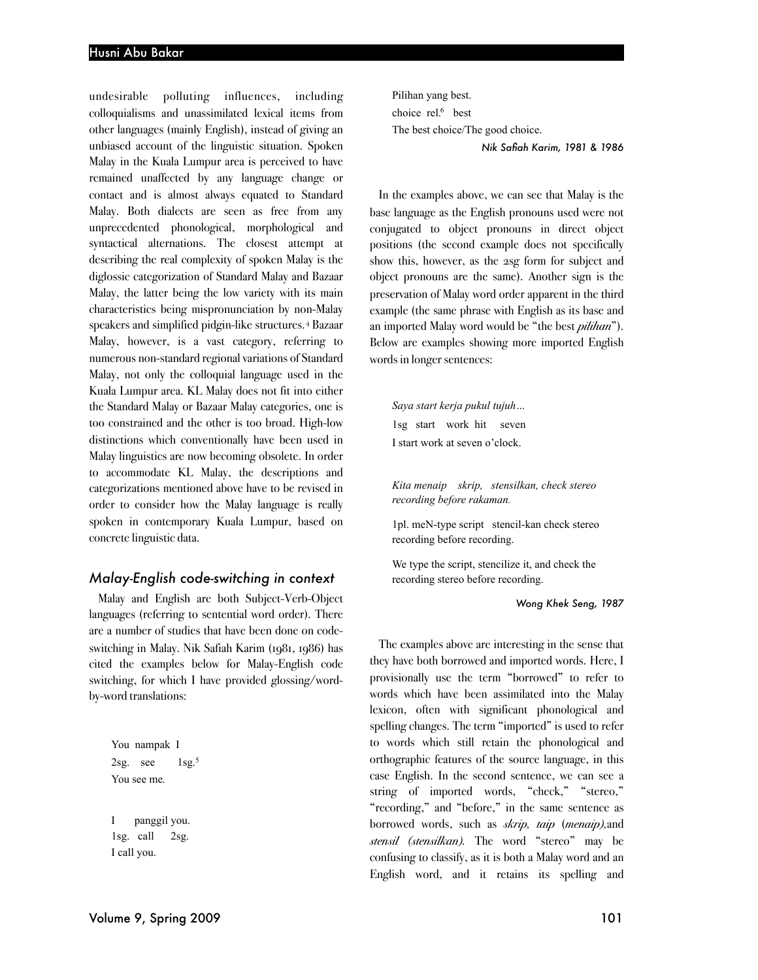undesirable polluting influences, including colloquialisms and unassimilated lexical items from other languages (mainly English), instead of giving an unbiased account of the linguistic situation. Spoken Malay in the Kuala Lumpur area is perceived to have remained unaffected by any language change or contact and is almost always equated to Standard Malay. Both dialects are seen as free from any unprecedented phonological, morphological and syntactical alternations. The closest attempt at describing the real complexity of spoken Malay is the diglossic categorization of Standard Malay and Bazaar Malay, the latter being the low variety with its main characteristics being mispronunciation by non-Malay speakers and simplified pidgin-like structures.4 Bazaar Malay, however, is a vast category, referring to numerous non-standard regional variations of Standard Malay, not only the colloquial language used in the Kuala Lumpur area. KL Malay does not fit into either the Standard Malay or Bazaar Malay categories, one is too constrained and the other is too broad. High-low distinctions which conventionally have been used in Malay linguistics are now becoming obsolete. In order to accommodate KL Malay, the descriptions and categorizations mentioned above have to be revised in order to consider how the Malay language is really spoken in contemporary Kuala Lumpur, based on concrete linguistic data.

#### *Malay-English code-switching in context*

Malay and English are both Subject-Verb-Object languages (referring to sentential word order). There are a number of studies that have been done on codeswitching in Malay. Nik Safiah Karim (1981, 1986) has cited the examples below for Malay-English code switching, for which I have provided glossing/wordby-word translations:

You nampak I  $2sg.$  see  $1sg.<sup>5</sup>$ You see me*.* I panggil you. 1sg. call 2sg. I call you.

Pilihan yang best. choice rel.<sup>6</sup> best The best choice/The good choice.

*Nik Safiah Karim, 1981 & 1986*

In the examples above, we can see that Malay is the base language as the English pronouns used were not conjugated to object pronouns in direct object positions (the second example does not specifically show this, however, as the 2sg form for subject and object pronouns are the same). Another sign is the preservation of Malay word order apparent in the third example (the same phrase with English as its base and an imported Malay word would be "the best *pilihan*"). Below are examples showing more imported English words in longer sentences:

*Saya start kerja pukul tujuh…* 1sg start work hit seven I start work at seven o'clock.

*Kita menaip skrip, stensilkan, check stereo recording before rakaman.*

1pl. meN-type script stencil-kan check stereo recording before recording.

We type the script, stencilize it, and check the recording stereo before recording.

*Wong Khek Seng, 1987*

The examples above are interesting in the sense that they have both borrowed and imported words. Here, I provisionally use the term "borrowed" to refer to words which have been assimilated into the Malay lexicon, often with significant phonological and spelling changes. The term "imported" is used to refer to words which still retain the phonological and orthographic features of the source language, in this case English. In the second sentence, we can see a string of imported words, "check," "stereo," "recording," and "before," in the same sentence as borrowed words, such as *skrip, taip* (*menaip),*and *stensil (stensilkan).* The word "stereo" may be confusing to classify, as it is both a Malay word and an English word, and it retains its spelling and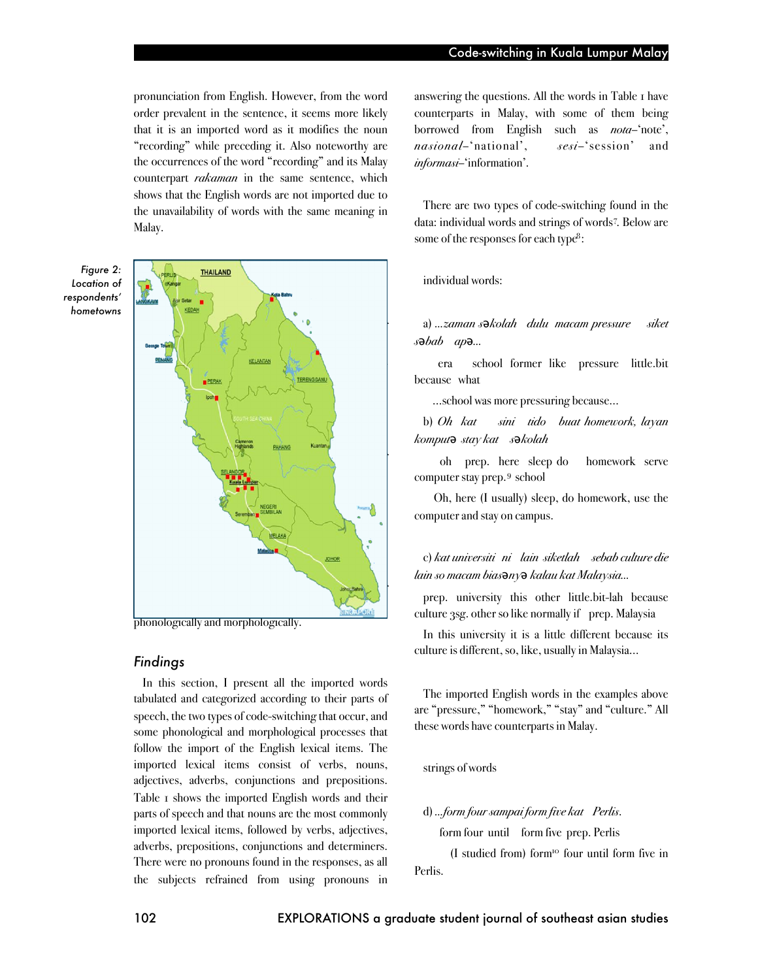pronunciation from English. However, from the word order prevalent in the sentence, it seems more likely that it is an imported word as it modifies the noun "recording" while preceding it. Also noteworthy are the occurrences of the word "recording" and its Malay counterpart *rakaman* in the same sentence, which shows that the English words are not imported due to the unavailability of words with the same meaning in Malay.

*Figure 2: Location of respondents' hometowns*



phonologically and morphologically.

## *Findings*

In this section, I present all the imported words tabulated and categorized according to their parts of speech, the two types of code-switching that occur, and some phonological and morphological processes that follow the import of the English lexical items. The imported lexical items consist of verbs, nouns, adjectives, adverbs, conjunctions and prepositions. Table 1 shows the imported English words and their parts of speech and that nouns are the most commonly imported lexical items, followed by verbs, adjectives, adverbs, prepositions, conjunctions and determiners. There were no pronouns found in the responses, as all the subjects refrained from using pronouns in answering the questions. All the words in Table 1 have counterparts in Malay, with some of them being borrowed from English such as *nota*–'note', *nasional*–'national', *sesi*–'session' and *informasi*–'information'.

There are two types of code-switching found in the data: individual words and strings of words<sup>7</sup>. Below are some of the responses for each type<sup>8</sup>:

#### individual words:

a) *…zaman s* $\partial k$ olah *dulu macam pressure siket*  $s \bullet bab \quad ap \bullet ...$ 

era school former like pressure little.bit because what

…school was more pressuring because…

b) *Oh kat sini tido buat homework, layan komput*# *stay kat s*#*kolah*

oh prep. here sleep do homework serve computer stay prep.9 school

Oh, here (I usually) sleep, do homework, use the computer and stay on campus.

c) *kat universiti ni lain siketlah sebab culture die lain so macam bias*#*ny*# *kalau kat Malaysia…*

prep. university this other little.bit-lah because culture 3sg. other so like normally if prep. Malaysia

In this university it is a little different because its culture is different, so, like, usually in Malaysia...

The imported English words in the examples above are "pressure," "homework," "stay" and "culture." All these words have counterparts in Malay.

strings of words

#### d) *…form four sampai form five kat Perlis*.

form four until form five prep. Perlis

(I studied from) form10 four until form five in Perlis.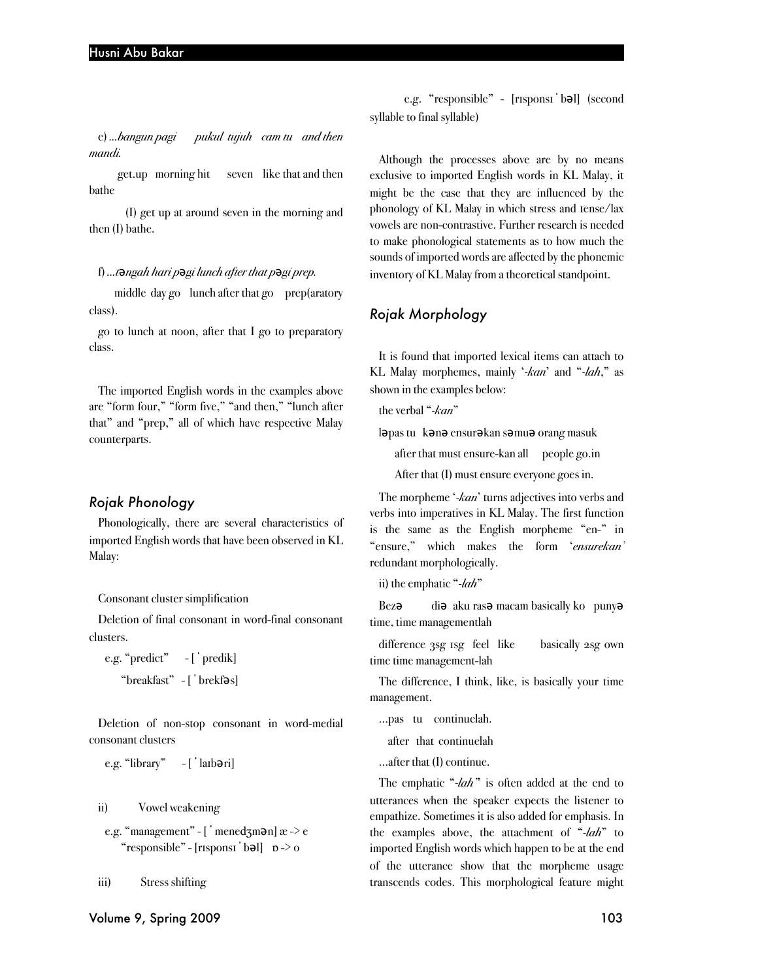e) *…bangun pagi pukul tujuh cam tu and then mandi.*

get.up morning hit seven like that and then bathe

(I) get up at around seven in the morning and then (I) bathe.

#### f) ...*t* $\theta$ *ngah hari p* $\theta$ *gi lunch after that p* $\theta$ *gi prep.*

middle day go lunch after that go prep(aratory class).

go to lunch at noon, after that I go to preparatory class.

The imported English words in the examples above are "form four," "form five," "and then," "lunch after that" and "prep," all of which have respective Malay counterparts.

#### *Rojak Phonology*

Phonologically, there are several characteristics of imported English words that have been observed in KL Malay:

#### Consonant cluster simplification

Deletion of final consonant in word-final consonant clusters.

e.g. " $predict" - ['predict]$ "breakfast" - ['brekfas]

Deletion of non-stop consonant in word-medial consonant clusters

e.g. "library"  $-$  [ ' $\lceil$  larb $\partial$ ri]

ii) Vowel weakening

e.g. "management" - [ ' mened $\zeta$ m $\partial$ n] æ -> e "responsible" -  $[$ risponsi  $\mathbf{b}$  b =  $\mathbf{b}$  b =  $\mathbf{b}$  o

iii) Stress shifting

e.g. "responsible" - [risponsi bal] (second syllable to final syllable)

Although the processes above are by no means exclusive to imported English words in KL Malay, it might be the case that they are influenced by the phonology of KL Malay in which stress and tense/lax vowels are non-contrastive. Further research is needed to make phonological statements as to how much the sounds of imported words are affected by the phonemic inventory of KL Malay from a theoretical standpoint.

### *Rojak Morphology*

It is found that imported lexical items can attach to KL Malay morphemes, mainly '*-kan*' and "*-lah*," as shown in the examples below:

the verbal "*-kan*"

l**ə**pas tu k**ənə** ensur**ə**kan s**ə**mu**ə** orang masuk

after that must ensure-kan all people go.in

After that (I) must ensure everyone goes in.

The morpheme '*-kan*' turns adjectives into verbs and verbs into imperatives in KL Malay. The first function is the same as the English morpheme "en-" in "ensure," which makes the form '*ensurekan'* redundant morphologically.

ii) the emphatic "*-lah*"

Bez $\theta$  di $\theta$  aku ras $\theta$  macam basically ko puny $\theta$ time, time managementlah

difference 3sg 1sg feel like basically 2sg own time time management-lah

The difference, I think, like, is basically your time management.

…pas tu continuelah.

after that continuelah

…after that (I) continue.

The emphatic "*-lah"*' is often added at the end to utterances when the speaker expects the listener to empathize. Sometimes it is also added for emphasis. In the examples above, the attachment of "*-lah*" to imported English words which happen to be at the end of the utterance show that the morpheme usage transcends codes. This morphological feature might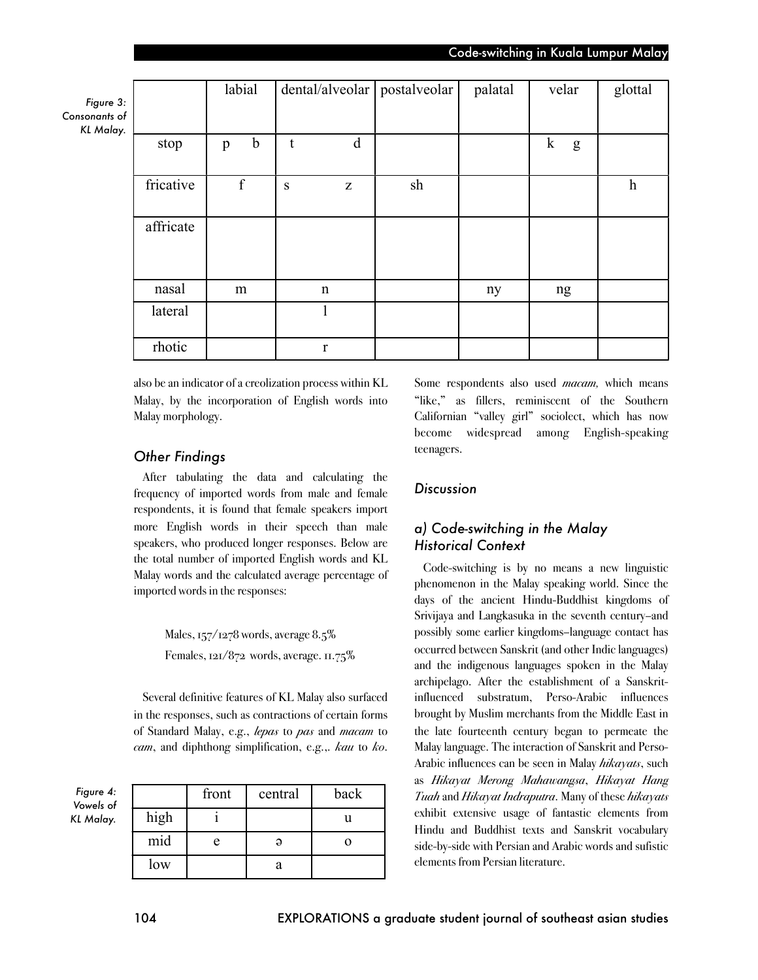|                                      |           | labial           | $dental/alveolar$   postalveolar |    | palatal | velar             | glottal          |
|--------------------------------------|-----------|------------------|----------------------------------|----|---------|-------------------|------------------|
| Figure 3:<br>sonants of<br>KL Malay. |           |                  |                                  |    |         |                   |                  |
|                                      | stop      | $\mathbf b$<br>p | d<br>t                           |    |         | $\mathbf{k}$<br>g |                  |
|                                      | fricative | $\mathbf f$      | S<br>Z                           | sh |         |                   | $\boldsymbol{h}$ |
|                                      | affricate |                  |                                  |    |         |                   |                  |
|                                      | nasal     | m                | $\mathbf n$                      |    | ny      | ng                |                  |
|                                      | lateral   |                  |                                  |    |         |                   |                  |
|                                      | rhotic    |                  | r                                |    |         |                   |                  |

also be an indicator of a creolization process within KL Malay, by the incorporation of English words into Malay morphology.

# *Other Findings*

After tabulating the data and calculating the frequency of imported words from male and female respondents, it is found that female speakers import more English words in their speech than male speakers, who produced longer responses. Below are the total number of imported English words and KL Malay words and the calculated average percentage of imported words in the responses:

> Males, 157/1278 words, average 8.5% Females, 121/872 words, average. 11.75%

Several definitive features of KL Malay also surfaced in the responses, such as contractions of certain forms of Standard Malay, e.g., *lepas* to *pas* and *macam* to *cam*, and diphthong simplification, e.g.,. *kau* to *ko*.

*Figure 4: Vowels of KL Malay.*

*Figure 3:*   $Consona$ 

|      | front | central | back |
|------|-------|---------|------|
| high |       |         |      |
| mid  |       |         |      |
| low  |       |         |      |

Some respondents also used *macam,* which means "like," as fillers, reminiscent of the Southern Californian "valley girl" sociolect, which has now become widespread among English-speaking teenagers.

# *Discussion*

# *a) Code-switching in the Malay Historical Context*

Code-switching is by no means a new linguistic phenomenon in the Malay speaking world. Since the days of the ancient Hindu-Buddhist kingdoms of Srivijaya and Langkasuka in the seventh century–and possibly some earlier kingdoms–language contact has occurred between Sanskrit (and other Indic languages) and the indigenous languages spoken in the Malay archipelago. After the establishment of a Sanskritinfluenced substratum, Perso-Arabic influences brought by Muslim merchants from the Middle East in the late fourteenth century began to permeate the Malay language. The interaction of Sanskrit and Perso-Arabic influences can be seen in Malay *hikayats*, such as *Hikayat Merong Mahawangsa*, *Hikayat Hang Tuah* and *Hikayat Indraputra*. Many of these *hikayats* exhibit extensive usage of fantastic elements from Hindu and Buddhist texts and Sanskrit vocabulary side-by-side with Persian and Arabic words and sufistic elements from Persian literature.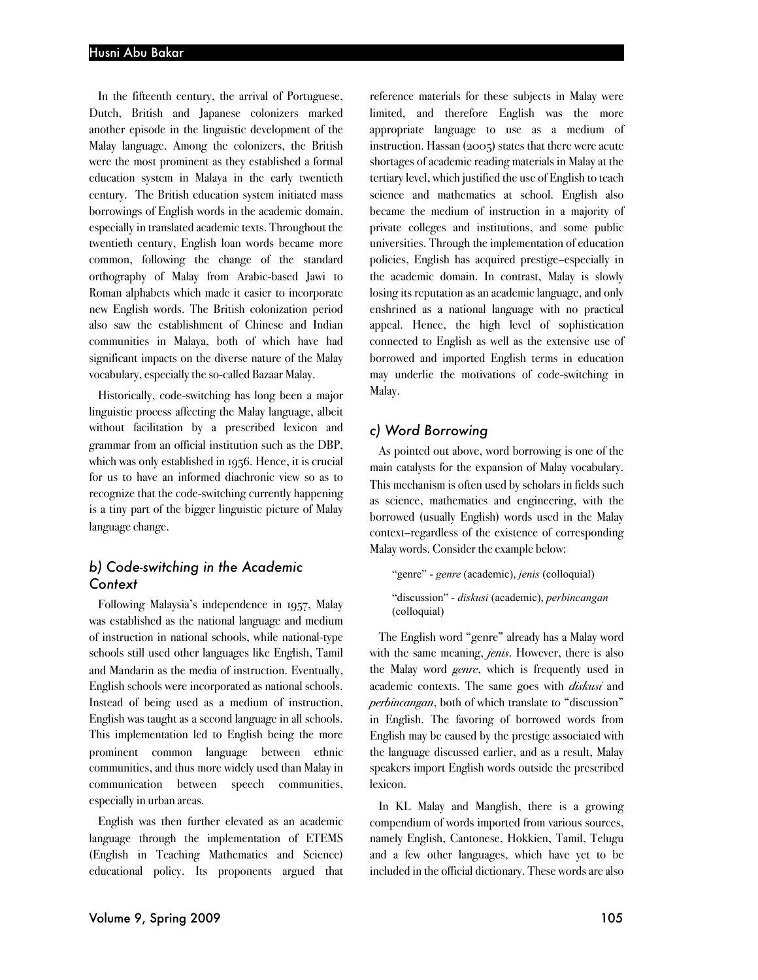In the fifteenth century, the arrival of Portuguese, Dutch, British and Japanese colonizers marked another episode in the linguistic development of the Malay language. Among the colonizers, the British were the most prominent as they established a formal education system in Malaya in the early twentieth century. The British education system initiated mass borrowings of English words in the academic domain, especially in translated academic texts. Throughout the twentieth century, English loan words became more common, following the change of the standard orthography of Malay from Arabic-based Jawi to Roman alphabets which made it easier to incorporate new English words. The British colonization period also saw the establishment of Chinese and Indian communities in Malaya, both of which have had significant impacts on the diverse nature of the Malay vocabulary, especially the so-called Bazaar Malay.

Historically, code-switching has long been a major linguistic process affecting the Malay language, albeit without facilitation by a prescribed lexicon and grammar from an official institution such as the DBP, which was only established in 1956. Hence, it is crucial for us to have an informed diachronic view so as to recognize that the code-switching currently happening is a tiny part of the bigger linguistic picture of Malay language change.

# *b) Code-switching in the Academic Context*

Following Malaysia's independence in 1957, Malay was established as the national language and medium of instruction in national schools, while national-type schools still used other languages like English, Tamil and Mandarin as the media of instruction. Eventually, English schools were incorporated as national schools. Instead of being used as a medium of instruction, English was taught as a second language in all schools. This implementation led to English being the more prominent common language between ethnic communities, and thus more widely used than Malay in communication between speech communities, especially in urban areas.

English was then further elevated as an academic language through the implementation of ETEMS (English in Teaching Mathematics and Science) educational policy. Its proponents argued that

reference materials for these subjects in Malay were limited, and therefore English was the more appropriate language to use as a medium of instruction. Hassan (2005) states that there were acute shortages of academic reading materials in Malay at the tertiary level, which justified the use of English to teach science and mathematics at school. English also became the medium of instruction in a majority of private colleges and institutions, and some public universities. Through the implementation of education policies, English has acquired prestige–especially in the academic domain. In contrast, Malay is slowly losing its reputation as an academic language, and only enshrined as a national language with no practical appeal. Hence, the high level of sophistication connected to English as well as the extensive use of borrowed and imported English terms in education may underlie the motivations of code-switching in Malay.

#### *c) Word Borrowing*

As pointed out above, word borrowing is one of the main catalysts for the expansion of Malay vocabulary. This mechanism is often used by scholars in fields such as science, mathematics and engineering, with the borrowed (usually English) words used in the Malay context–regardless of the existence of corresponding Malay words. Consider the example below:

"genre" - *genre* (academic), *jenis* (colloquial) "discussion" - *diskusi* (academic), *perbincangan* (colloquial)

The English word "genre" already has a Malay word with the same meaning, *jenis*. However, there is also the Malay word *genre*, which is frequently used in academic contexts. The same goes with *diskusi* and *perbincangan*, both of which translate to "discussion" in English. The favoring of borrowed words from English may be caused by the prestige associated with the language discussed earlier, and as a result, Malay speakers import English words outside the prescribed lexicon.

In KL Malay and Manglish, there is a growing compendium of words imported from various sources, namely English, Cantonese, Hokkien, Tamil, Telugu and a few other languages, which have yet to be included in the official dictionary. These words are also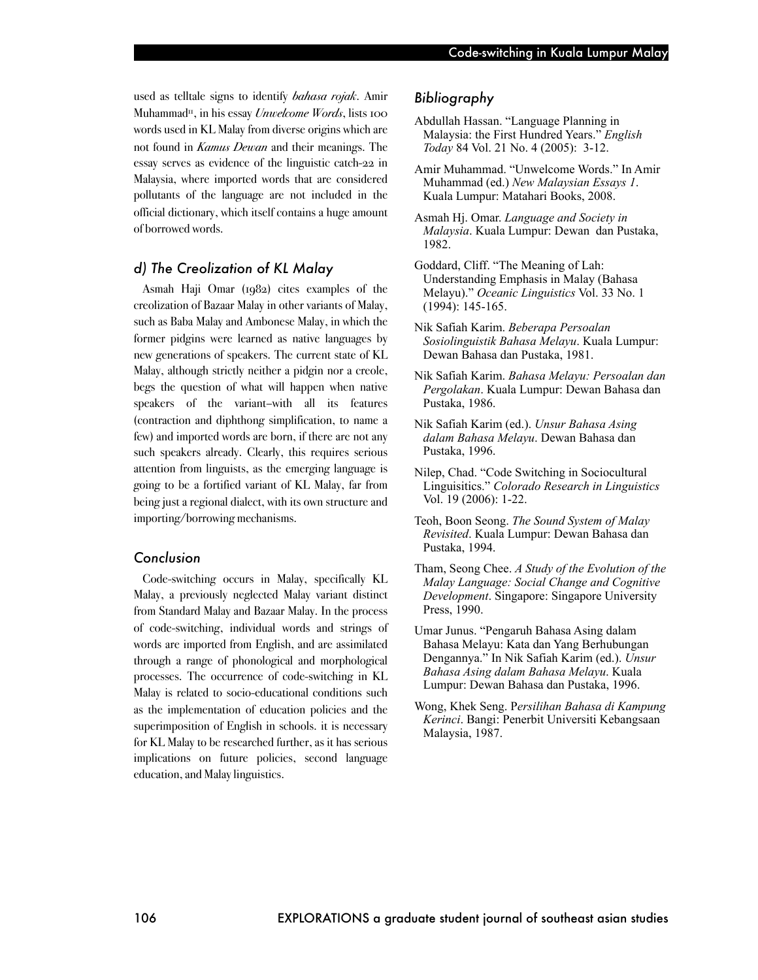used as telltale signs to identify *bahasa rojak*. Amir Muhammad11, in his essay *Unwelcome Words*, lists 100 words used in KL Malay from diverse origins which are not found in *Kamus Dewan* and their meanings. The essay serves as evidence of the linguistic catch-22 in Malaysia, where imported words that are considered pollutants of the language are not included in the official dictionary, which itself contains a huge amount of borrowed words.

#### *d) The Creolization of KL Malay*

Asmah Haji Omar (1982) cites examples of the creolization of Bazaar Malay in other variants of Malay, such as Baba Malay and Ambonese Malay, in which the former pidgins were learned as native languages by new generations of speakers. The current state of KL Malay, although strictly neither a pidgin nor a creole, begs the question of what will happen when native speakers of the variant–with all its features (contraction and diphthong simplification, to name a few) and imported words are born, if there are not any such speakers already. Clearly, this requires serious attention from linguists, as the emerging language is going to be a fortified variant of KL Malay, far from being just a regional dialect, with its own structure and importing/borrowing mechanisms.

## *Conclusion*

Code-switching occurs in Malay, specifically KL Malay, a previously neglected Malay variant distinct from Standard Malay and Bazaar Malay. In the process of code-switching, individual words and strings of words are imported from English, and are assimilated through a range of phonological and morphological processes. The occurrence of code-switching in KL Malay is related to socio-educational conditions such as the implementation of education policies and the superimposition of English in schools. it is necessary for KL Malay to be researched further, as it has serious implications on future policies, second language education, and Malay linguistics.

## *Bibliography*

- Abdullah Hassan. "Language Planning in Malaysia: the First Hundred Years." *English Today* 84 Vol. 21 No. 4 (2005): 3-12.
- Amir Muhammad. "Unwelcome Words." In Amir Muhammad (ed.) *New Malaysian Essays 1*. Kuala Lumpur: Matahari Books, 2008.
- Asmah Hj. Omar. *Language and Society in Malaysia*. Kuala Lumpur: Dewan dan Pustaka, 1982.
- Goddard, Cliff. "The Meaning of Lah: Understanding Emphasis in Malay (Bahasa Melayu)." *Oceanic Linguistics* Vol. 33 No. 1 (1994): 145-165.
- Nik Safiah Karim. *Beberapa Persoalan Sosiolinguistik Bahasa Melayu*. Kuala Lumpur: Dewan Bahasa dan Pustaka, 1981.
- Nik Safiah Karim. *Bahasa Melayu: Persoalan dan Pergolakan*. Kuala Lumpur: Dewan Bahasa dan Pustaka, 1986.
- Nik Safiah Karim (ed.). *Unsur Bahasa Asing dalam Bahasa Melayu*. Dewan Bahasa dan Pustaka, 1996.
- Nilep, Chad. "Code Switching in Sociocultural Linguisitics." *Colorado Research in Linguistics*  Vol. 19 (2006): 1-22.
- Teoh, Boon Seong. *The Sound System of Malay Revisited*. Kuala Lumpur: Dewan Bahasa dan Pustaka, 1994.
- Tham, Seong Chee. *A Study of the Evolution of the Malay Language: Social Change and Cognitive Development*. Singapore: Singapore University Press, 1990.
- Umar Junus. "Pengaruh Bahasa Asing dalam Bahasa Melayu: Kata dan Yang Berhubungan Dengannya." In Nik Safiah Karim (ed.). *Unsur Bahasa Asing dalam Bahasa Melayu*. Kuala Lumpur: Dewan Bahasa dan Pustaka, 1996.
- Wong, Khek Seng. P*ersilihan Bahasa di Kampung Kerinci*. Bangi: Penerbit Universiti Kebangsaan Malaysia, 1987.